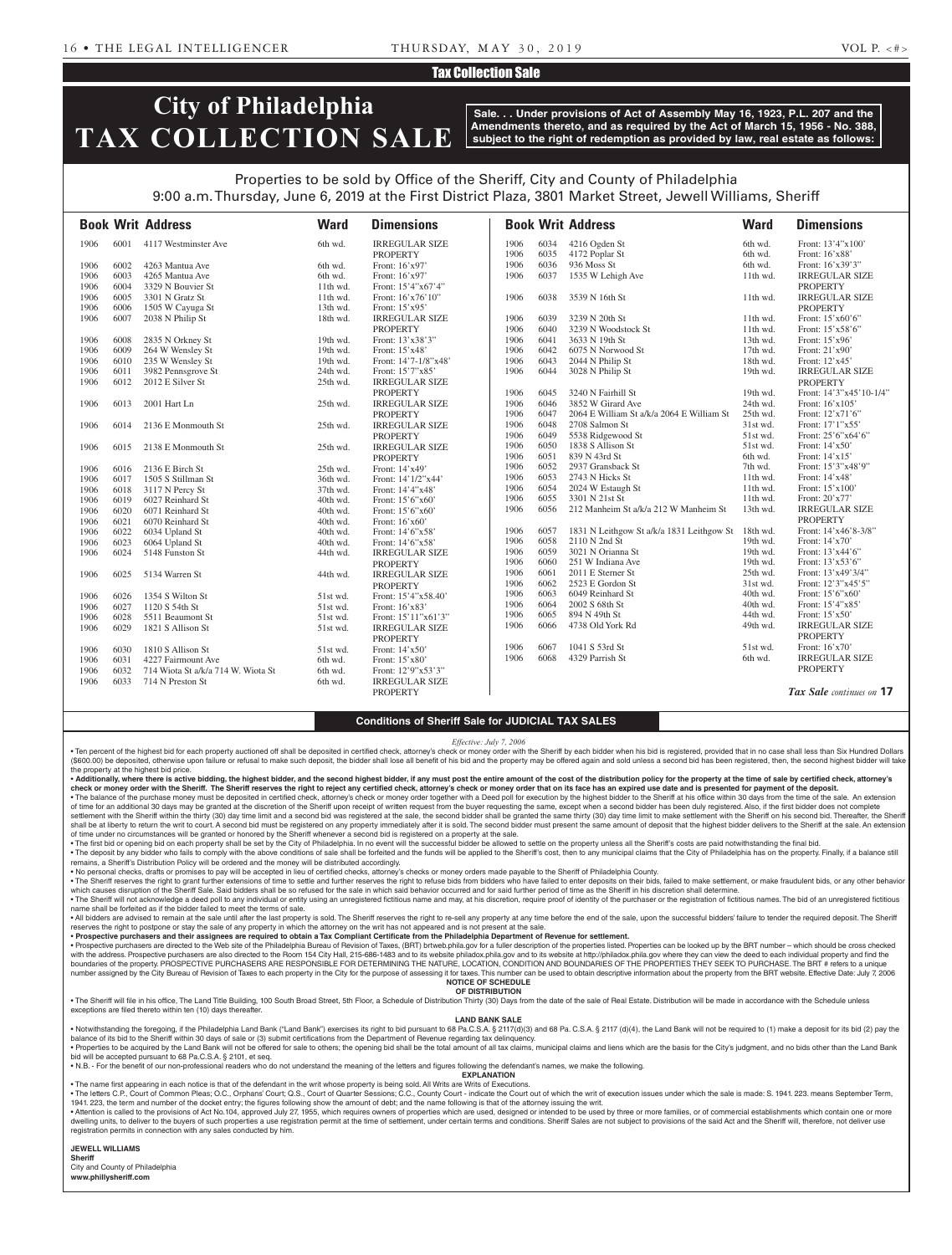## Tax Collection Sale

# **City of Philadelphia TAX COLLECTION SALE**

**Sale. . . Under provisions of Act of Assembly May 16, 1923, P.L. 207 and the Amendments thereto, and as required by the Act of March 15, 1956 - No. 388, subject to the right of redemption as provided by law, real estate as follows:**

## Properties to be sold by Office of the Sheriff, City and County of Philadelphia 9:00 a.m. Thursday, June 6, 2019 at the First District Plaza, 3801 Market Street, Jewell Williams, Sheriff

|      |      | <b>Book Writ Address</b>           | <b>Ward</b> | <b>Dimensions</b>     |      |      | <b>Book Writ Address</b>                  | <b>Ward</b> | <b>Dimensions</b>        |
|------|------|------------------------------------|-------------|-----------------------|------|------|-------------------------------------------|-------------|--------------------------|
| 1906 | 6001 | 4117 Westminster Ave               | 6th wd.     | <b>IRREGULAR SIZE</b> | 1906 | 6034 | 4216 Ogden St                             | 6th wd.     | Front: 13'4"x100"        |
|      |      |                                    |             | <b>PROPERTY</b>       | 1906 | 6035 | 4172 Poplar St                            | 6th wd.     | Front: 16'x88'           |
| 1906 | 6002 | 4263 Mantua Ave                    | 6th wd.     | Front: 16'x97'        | 1906 | 6036 | 936 Moss St                               | 6th wd.     | Front: 16'x39'3"         |
| 1906 | 6003 | 4265 Mantua Ave                    | 6th wd.     | Front: 16'x97'        | 1906 | 6037 | 1535 W Lehigh Ave                         | 11th wd.    | <b>IRREGULAR SIZE</b>    |
| 1906 | 6004 | 3329 N Bouvier St                  | $11th$ wd.  | Front: 15'4"x67'4"    |      |      |                                           |             | <b>PROPERTY</b>          |
| 1906 | 6005 | 3301 N Gratz St                    | 11th wd.    | Front: 16'x76'10"     | 1906 | 6038 | 3539 N 16th St                            | 11th wd.    | <b>IRREGULAR SIZE</b>    |
| 1906 | 6006 | 1505 W Cayuga St                   | 13th wd.    | Front: 15'x95'        |      |      |                                           |             | <b>PROPERTY</b>          |
| 1906 | 6007 | 2038 N Philip St                   | 18th wd.    | <b>IRREGULAR SIZE</b> | 1906 | 6039 | 3239 N 20th St                            | $11th$ wd.  | Front: 15'x60'6"         |
|      |      |                                    |             | <b>PROPERTY</b>       | 1906 | 6040 | 3239 N Woodstock St                       | 11th wd.    | Front: 15'x58'6"         |
| 1906 | 6008 | 2835 N Orkney St                   | 19th wd.    | Front: 13'x38'3"      | 1906 | 6041 | 3633 N 19th St                            | 13th wd.    | Front: 15'x96'           |
| 1906 | 6009 | 264 W Wensley St                   | 19th wd.    | Front: 15'x48'        | 1906 | 6042 | 6075 N Norwood St                         | $17th$ wd.  | Front: 21'x90'           |
| 1906 | 6010 | 235 W Wensley St                   | 19th wd.    | Front: 14'7-1/8"x48'  | 1906 | 6043 | 2044 N Philip St                          | 18th wd.    | Front: 12'x45'           |
| 1906 | 6011 | 3982 Pennsgrove St                 | 24th wd.    | Front: 15'7"x85'      | 1906 | 6044 | 3028 N Philip St                          | 19th wd.    | <b>IRREGULAR SIZE</b>    |
| 1906 | 6012 | 2012 E Silver St                   | 25th wd.    | <b>IRREGULAR SIZE</b> |      |      |                                           |             | <b>PROPERTY</b>          |
|      |      |                                    |             | <b>PROPERTY</b>       | 1906 | 6045 | 3240 N Fairhill St                        | 19th wd.    | Front: 14'3"x45'10-1/4"  |
| 1906 | 6013 | 2001 Hart Ln                       | 25th wd.    | <b>IRREGULAR SIZE</b> | 1906 | 6046 | 3852 W Girard Ave                         | 24th wd.    | Front: 16'x105'          |
|      |      |                                    |             | <b>PROPERTY</b>       | 1906 | 6047 | 2064 E William St a/k/a 2064 E William St | 25th wd.    | Front: 12'x71'6"         |
| 1906 | 6014 | 2136 E Monmouth St                 | 25th wd.    | <b>IRREGULAR SIZE</b> | 1906 | 6048 | 2708 Salmon St                            | 31st wd.    | Front: 17'1"x55'         |
|      |      |                                    |             | <b>PROPERTY</b>       | 1906 | 6049 | 5538 Ridgewood St                         | 51st wd.    | Front: 25'6"x64'6"       |
| 1906 | 6015 | 2138 E Monmouth St                 | 25th wd.    | <b>IRREGULAR SIZE</b> | 1906 | 6050 | 1838 S Allison St                         | 51st wd.    | Front: 14'x50'           |
|      |      |                                    |             | <b>PROPERTY</b>       | 1906 | 6051 | 839 N 43rd St                             | 6th wd.     | Front: 14'x15'           |
| 1906 | 6016 | 2136 E Birch St                    | 25th wd.    | Front: 14'x49'        | 1906 | 6052 | 2937 Gransback St                         | 7th wd.     | Front: 15'3"x48'9"       |
| 1906 | 6017 | 1505 S Stillman St                 | 36th wd.    | Front: 14'1/2"x44'    | 1906 | 6053 | 2743 N Hicks St                           | $11th$ wd.  | Front: 14'x48'           |
| 1906 | 6018 | 3117 N Percy St                    | 37th wd.    | Front: 14'4"x48"      | 1906 | 6054 | 2024 W Estaugh St                         | $11th$ wd.  | Front: 15'x100'          |
| 1906 | 6019 | 6027 Reinhard St                   | 40th wd.    | Front: 15'6"x60"      | 1906 | 6055 | 3301 N 21st St                            | 11th wd.    | Front: 20'x77'           |
| 1906 | 6020 | 6071 Reinhard St                   | 40th wd.    | Front: 15'6"x60"      | 1906 | 6056 | 212 Manheim St a/k/a 212 W Manheim St     | 13th wd.    | <b>IRREGULAR SIZE</b>    |
| 1906 | 6021 | 6070 Reinhard St                   | 40th wd.    | Front: 16'x60'        |      |      |                                           |             | <b>PROPERTY</b>          |
| 1906 | 6022 | 6034 Upland St                     | 40th wd.    | Front: 14'6"x58'      | 1906 | 6057 | 1831 N Leithgow St a/k/a 1831 Leithgow St | 18th wd.    | Front: 14'x46'8-3/8"     |
| 1906 | 6023 | 6064 Upland St                     | 40th wd.    | Front: 14'6"x58"      | 1906 | 6058 | 2110 N 2nd St                             | 19th wd.    | Front: 14'x70'           |
| 1906 | 6024 | 5148 Funston St                    | 44th wd.    | <b>IRREGULAR SIZE</b> | 1906 | 6059 | 3021 N Orianna St                         | 19th wd.    | Front: 13'x44'6"         |
|      |      |                                    |             | <b>PROPERTY</b>       | 1906 | 6060 | 251 W Indiana Ave                         | 19th wd.    | Front: 13'x53'6"         |
| 1906 | 6025 | 5134 Warren St                     | 44th wd.    | <b>IRREGULAR SIZE</b> | 1906 | 6061 | 2011 E Sterner St                         | 25th wd.    | Front: 13'x49'3/4"       |
|      |      |                                    |             | <b>PROPERTY</b>       | 1906 | 6062 | 2523 E Gordon St                          | 31st wd.    | Front: 12'3"x45'5"       |
| 1906 | 6026 | 1354 S Wilton St                   | 51st wd.    | Front: 15'4"x58.40'   | 1906 | 6063 | 6049 Reinhard St                          | 40th wd.    | Front: 15'6"x60"         |
| 1906 | 6027 | 1120 S 54th St                     | 51st wd.    | Front: 16'x83'        | 1906 | 6064 | 2002 S 68th St                            | 40th wd.    | Front: 15'4"x85'         |
| 1906 | 6028 | 5511 Beaumont St                   | 51st wd.    | Front: 15'11"x61'3"   | 1906 | 6065 | 894 N 49th St                             | 44th wd.    | Front: 15'x50'           |
| 1906 | 6029 | 1821 S Allison St                  | 51st wd.    | <b>IRREGULAR SIZE</b> | 1906 | 6066 | 4738 Old York Rd                          | 49th wd.    | <b>IRREGULAR SIZE</b>    |
|      |      |                                    |             | <b>PROPERTY</b>       |      |      |                                           |             | <b>PROPERTY</b>          |
| 1906 | 6030 | 1810 S Allison St                  | 51st wd.    | Front: 14'x50'        | 1906 | 6067 | 1041 S 53rd St                            | 51st wd.    | Front: 16'x70'           |
| 1906 | 6031 | 4227 Fairmount Ave                 | 6th wd.     | Front: 15'x80'        | 1906 | 6068 | 4329 Parrish St                           | 6th wd.     | <b>IRREGULAR SIZE</b>    |
| 1906 | 6032 | 714 Wiota St a/k/a 714 W. Wiota St | 6th wd.     | Front: 12'9"x53'3"    |      |      |                                           |             | <b>PROPERTY</b>          |
| 1906 | 6033 | 714 N Preston St                   | 6th wd.     | <b>IRREGULAR SIZE</b> |      |      |                                           |             |                          |
|      |      |                                    |             | <b>PROPERTY</b>       |      |      |                                           |             | Tax Sale continues on 17 |

#### **Conditions of Sheriff Sale for JUDICIAL TAX SALES**

*Effective: July 7, 2006*

• Ten percent of the highest bid for each property auctioned off shall be deposited in certified check, attorney's check or money order with the Sheriff by each bidder when his bid is registered, provided that in no case s (\$600.00) be deposited, otherwise upon failure or refusal to make such deposit, the bidder shall lose all benefit of his bid and the property may be offered again and sold unless a second bid has been registered, then, the the property at the highest bid price.

. Additionally, where there is active bidding, the highest bidder, and the second highest bidder, if any must post the entire amount of the cost of the distribution policy for the property at the time of sale by certified check or money order with the Sheriff. The Sheriff reserves the right to reject any certified check, attorney's check or money order that on its face has an expired use date and is presented for payment of the deposit. . The balance of the purchase money must be deposited in certified check, attorney's check or money order together with a Deed poll for execution by the highest bidder to the Sheriff at his office within 30 days from the t

of time for an additional 30 days may be granted at the discretion of the Sheriff upon receipt of written request from the buyer requesting the same, except when a second bidder has been duly registered. Also, if the first settlement with the Sheriff within the thirty (30) day time limit and a second bid was registered at the sale, the second bidder shall be granted the same thirty (30) day time limit to make settlement with the Sheriff on h shall be at liberty to return the writ to court. A second bid must be registered on any property immediately after it is sold. The second bidder must present the same amount of deposit that the highest bidder delivers to t of time under no circumstances will be granted or honored by the Sheriff whenever a second bid is registered on a property at the sale.

The first bid or opening bid on each property shall be set by the City of Philadelphia. In no event will the successful bidder be allowed to settle on the property unless all the Sheriff's costs are paid notwithstanding th . The deposit by any bidder who fails to comply with the above conditions of sale shall be forfeited and the funds will be applied to the Sheriff's cost, then to any municipal claims that the City of Philadelphia has on th

remains, a Sheriff's Distribution Policy will be ordered and the money will be distributed accordingly.<br>• No personal checks, drafts or promises to pay will be accepted in lieu of certified checks, attorney's checks or mo

. The Sheriff reserves the right to grant further extensions of time to settle and further reserves the right to refuse bids from bidders who have failed to enter deposits on their bids, failed to make settlement, or make which causes disruption of the Sheriff Sale. Said bidders shall be so refused for the sale in which said behavior occurred and for said further period of time as the Sheriff in his discretion shall determine. . The Sheriff will not acknowledge a deed poll to any individual or entity using an unregistered fictitious name and may, at his discretion, require proof of identity of the purchaser or the registration of fictitious name

name shall be forfeited as if the bidder failed to meet the terms of sale. . All bidders are advised to remain at the sale until after the last property is sold. The Sheriff reserves the right to re-sell any property at any time before the end of the sale, upon the successful bidders' failure to reserves the right to postpone or stay the sale of any property in which the attorney on the writ has not appeared and is not present at the sale

• Prospective purchasers and their assignees are required to obtain a Tax Compliant Certificate from the Philadelphia Department of Revenue for settlement.<br>• Prospective purchasers are directed to the Web site of the Phila with the address. Prospective purchasers are also directed to the Room 154 City Hall, 215-686-1483 and to its website philadox phila.gov and to its website at http://philadox.phila.gov where they can view the deed to each boundaries of the property. PROSPECTIVE PURCHASERS ARE RESPONSIBLE FOR DETERMINING THE NATURE, LOCATION, CONDITION AND BOUNDARIES OF THE PROPERTIES THEY SEEK TO PURCHASE. The BRT # refers to a unique number assigned by the City Bureau of Revision of Taxes to each property in the City for the purpose of assessing it for taxes. This number can be used to obtain descriptive information about the property from the BRT webs

#### **NOTICE OF SCHEDULE OF DISTRIBUTION**

. The Sheriff will file in his office, The Land Title Building, 100 South Broad Street, 5th Floor, a Schedule of Distribution Thirty (30) Days from the date of the sale of Real Estate. Distribution will be made in accordan exceptions are filed thereto within ten (10) days thereafter.

### **LAND BANK SALE**

• Notwithstanding the foregoing, if the Philadelphia Land Bank ("Land Bank") exercises its right to bid pursuant to 68 Pa.C.S.A. § 2117(d)(3) and 68 Pa.C.S.A. § 2117 (d)(4), the Land Bank will not be required to (1) make a balance of its bid to the Sheriff within 30 days of sale or (3) submit certifications from the Department of Revenue regarding tax delinquency.

• Properties to be acquired by the Land Bank will not be offered for sale to others; the opening bid shall be the total amount of all tax claims, municipal claims and liens which are the basis for the City's judgment, and bid will be accepted pursuant to 68 Pa.C.S.A. § 2101, et seq. • N.B. - For the benefit of our non-professional readers who do not understand the meaning of the letters and figures following the defendant's names, we make the following.

**EXPLANATION** 

• The name first appearing in each notice is that of the defendant in the writ whose property is being sold. All Writs are Writs of Executions.

. The letters C.P., Court of Common Pleas; O.C., Orphans' Court; Q.S., Court of Quarter Sessions; C.C., County Court - indicate the Court out of which the writ of execution issues under which the sale is made: S. 1941. 223 1941. 223, the term and number of the docket entry; the figures following show the amount of debt; and the name following is that of the attorney issuing the writ.

. Attention is called to the provisions of Act No.104, approved July 27, 1955, which requires owners of properties which are used, designed or intended to be used by three or more families, or of commercial establishments dwelling units, to deliver to the buyers of such properties a use registration permit at the time of settlement, under certain terms and conditions. Sheriff Sales are not subject to provisions of the said Act and the Sheri registration permits in connection with any sales conducted by him.

**JEWELL WILLIAMS Sheriff**  City and County of Philadelphia

**www.phillysheriff.com**